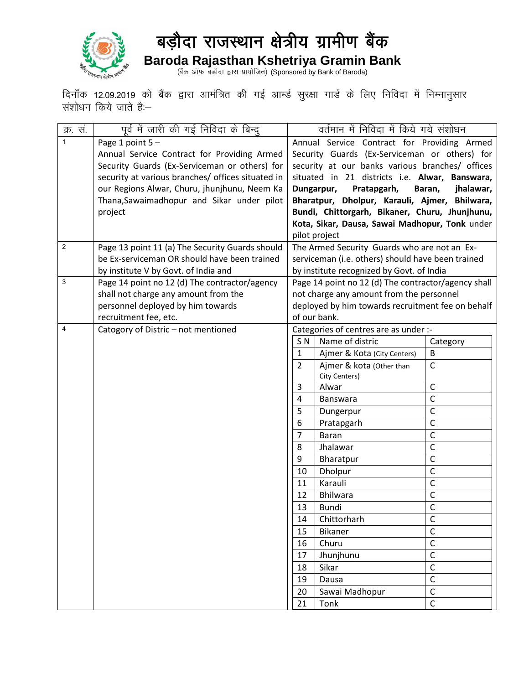

## बड़ौदा राजस्थान क्षेत्रीय ग्रामीण बैंक **Baroda Rajasthan Kshetriya Gramin Bank**

(बैंक ऑफ बड़ौदा द्वारा प्रायोजित) (Sponsored by Bank of Baroda)

दिनाँक 12.09.2019 को बैंक द्वारा आमंत्रित की गई आर्म्ड सुरक्षा गार्ड के लिए निविदा में निम्नानुसार संशोधन किये जाते है<mark>ं:—</mark>

| क्र. सं.     | पूर्व में जारी की गई निविदा के बिन्दु             | वर्तमान में निविदा में किये गये संशोधन              |                                                 |                |  |  |
|--------------|---------------------------------------------------|-----------------------------------------------------|-------------------------------------------------|----------------|--|--|
| $\mathbf{1}$ | Page 1 point 5-                                   | Annual Service Contract for Providing Armed         |                                                 |                |  |  |
|              | Annual Service Contract for Providing Armed       |                                                     | Security Guards (Ex-Serviceman or others) for   |                |  |  |
|              | Security Guards (Ex-Serviceman or others) for     |                                                     | security at our banks various branches/ offices |                |  |  |
|              | security at various branches/ offices situated in |                                                     | situated in 21 districts i.e. Alwar, Banswara,  |                |  |  |
|              | our Regions Alwar, Churu, jhunjhunu, Neem Ka      | Dungarpur,<br>Pratapgarh,<br>Baran,<br>jhalawar,    |                                                 |                |  |  |
|              | Thana, Sawaimadhopur and Sikar under pilot        |                                                     | Bharatpur, Dholpur, Karauli, Ajmer, Bhilwara,   |                |  |  |
|              | project                                           | Bundi, Chittorgarh, Bikaner, Churu, Jhunjhunu,      |                                                 |                |  |  |
|              |                                                   | Kota, Sikar, Dausa, Sawai Madhopur, Tonk under      |                                                 |                |  |  |
|              |                                                   | pilot project                                       |                                                 |                |  |  |
| 2            | Page 13 point 11 (a) The Security Guards should   | The Armed Security Guards who are not an Ex-        |                                                 |                |  |  |
|              | be Ex-serviceman OR should have been trained      | serviceman (i.e. others) should have been trained   |                                                 |                |  |  |
|              | by institute V by Govt. of India and              | by institute recognized by Govt. of India           |                                                 |                |  |  |
| 3            | Page 14 point no 12 (d) The contractor/agency     | Page 14 point no 12 (d) The contractor/agency shall |                                                 |                |  |  |
|              | shall not charge any amount from the              | not charge any amount from the personnel            |                                                 |                |  |  |
|              | personnel deployed by him towards                 | deployed by him towards recruitment fee on behalf   |                                                 |                |  |  |
|              | recruitment fee, etc.                             | of our bank.                                        |                                                 |                |  |  |
| 4            | Catogory of Distric - not mentioned               | Categories of centres are as under :-               |                                                 |                |  |  |
|              |                                                   | SN                                                  | Name of distric                                 | Category       |  |  |
|              |                                                   | $\mathbf{1}$                                        | Ajmer & Kota (City Centers)                     | B              |  |  |
|              |                                                   | $\overline{2}$                                      | Ajmer & kota (Other than                        | $\mathsf{C}$   |  |  |
|              |                                                   |                                                     | City Centers)                                   |                |  |  |
|              |                                                   | 3                                                   | Alwar                                           | $\mathsf C$    |  |  |
|              |                                                   | $\overline{4}$                                      | Banswara                                        | $\mathsf C$    |  |  |
|              |                                                   | 5                                                   | Dungerpur                                       | $\mathsf C$    |  |  |
|              |                                                   | 6                                                   | Pratapgarh                                      | $\mathsf{C}$   |  |  |
|              |                                                   | 7                                                   | Baran                                           | $\mathsf C$    |  |  |
|              |                                                   | 8                                                   | Jhalawar                                        | $\mathsf C$    |  |  |
|              |                                                   | 9                                                   | Bharatpur                                       | $\mathsf C$    |  |  |
|              |                                                   | 10                                                  | Dholpur                                         | $\mathsf C$    |  |  |
|              |                                                   | 11                                                  | Karauli                                         | $\mathsf C$    |  |  |
|              |                                                   | 12                                                  | Bhilwara                                        | $\mathsf C$    |  |  |
|              |                                                   | 13                                                  | Bundi                                           | $\mathsf{C}$   |  |  |
|              |                                                   | 14                                                  | Chittorharh                                     | $\mathsf C$    |  |  |
|              |                                                   | 15                                                  | Bikaner                                         | $\mathsf{C}$   |  |  |
|              |                                                   | 16                                                  | Churu                                           | $\mathsf C$    |  |  |
|              |                                                   | 17                                                  | Jhunjhunu                                       | $\overline{C}$ |  |  |
|              |                                                   | 18                                                  | Sikar                                           | $\mathsf C$    |  |  |
|              |                                                   | 19                                                  | Dausa                                           | $\mathsf C$    |  |  |
|              |                                                   | 20                                                  | Sawai Madhopur                                  | $\mathsf C$    |  |  |
|              |                                                   | 21                                                  | Tonk                                            | $\mathsf{C}$   |  |  |